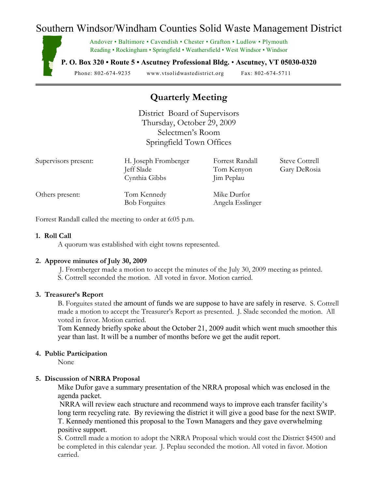# Southern Windsor/Windham Counties Solid Waste Management District

Andover • Baltimore • Cavendish • Chester • Grafton • Ludlow • Plymouth Reading • Rockingham • Springfield • Weathersfield • West Windsor • Windsor

**P. O. Box 320 • Route 5 • Ascutney Professional Bldg.** • **Ascutney, VT 05030-0320**

Phone: 802-674-9235 www.vtsolidwastedistrict.org Fax: 802-674-5711

## **Quarterly Meeting**

District Board of Supervisors Thursday, October 29, 2009 Selectmen's Room Springfield Town Offices

| Supervisors present: | H. Joseph Fromberger<br>Jeff Slade  | Forrest Randall<br>Tom Kenyon   | <b>Steve Cottrell</b><br>Gary DeRosia |
|----------------------|-------------------------------------|---------------------------------|---------------------------------------|
|                      | Cynthia Gibbs                       | Jim Peplau                      |                                       |
| Others present:      | Tom Kennedy<br><b>Bob Forguites</b> | Mike Durfor<br>Angela Esslinger |                                       |

Forrest Randall called the meeting to order at 6:05 p.m.

#### **1. Roll Call**

A quorum was established with eight towns represented.

#### **2. Approve minutes of July 30, 2009**

- J. Fromberger made a motion to accept the minutes of the July 30, 2009 meeting as printed.
- S. Cottrell seconded the motion. All voted in favor. Motion carried.

#### **3. Treasurer's Report**

B. Forguites stated the amount of funds we are suppose to have are safely in reserve. S. Cottrell made a motion to accept the Treasurer's Report as presented. J. Slade seconded the motion. All voted in favor. Motion carried.

Tom Kennedy briefly spoke about the October 21, 2009 audit which went much smoother this year than last. It will be a number of months before we get the audit report.

#### **4. Public Participation**

None

## **5. Discussion of NRRA Proposal**

Mike Dufor gave a summary presentation of the NRRA proposal which was enclosed in the agenda packet.

NRRA will review each structure and recommend ways to improve each transfer facility's long term recycling rate. By reviewing the district it will give a good base for the next SWIP. T. Kennedy mentioned this proposal to the Town Managers and they gave overwhelming positive support.

S. Cottrell made a motion to adopt the NRRA Proposal which would cost the District \$4500 and be completed in this calendar year. J. Peplau seconded the motion. All voted in favor. Motion carried.